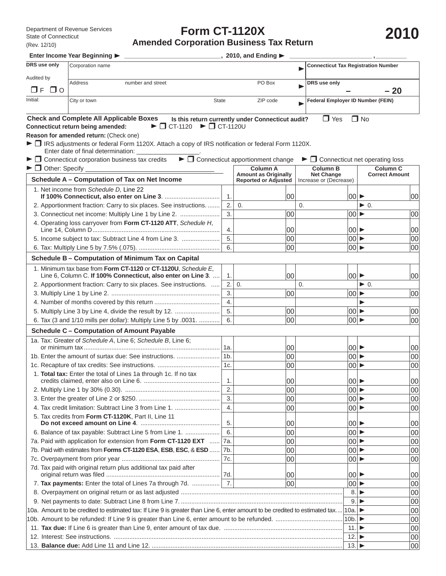## **Form CT-1120X Amended Corporation Business Tax Return**

**Enter Income Year Beginning \_\_\_\_\_\_\_\_\_\_\_\_\_\_\_\_\_\_\_\_\_\_\_\_\_\_\_\_, 2010, and Ending \_\_\_\_\_\_\_\_\_\_\_\_\_\_\_\_\_\_\_\_\_\_\_\_ , \_\_\_\_\_\_\_\_\_**

| DRS use only                                                                                                                     | Corporation name                                                                                                                                                                                                                                                                                                                                       |                              |                                                                               |                                                                | <b>Connecticut Tax Registration Number</b> |                                                                                        |                                |
|----------------------------------------------------------------------------------------------------------------------------------|--------------------------------------------------------------------------------------------------------------------------------------------------------------------------------------------------------------------------------------------------------------------------------------------------------------------------------------------------------|------------------------------|-------------------------------------------------------------------------------|----------------------------------------------------------------|--------------------------------------------|----------------------------------------------------------------------------------------|--------------------------------|
| Audited by<br><b>NE</b><br>$\Box$ $\Omega$                                                                                       | <b>Address</b><br>number and street                                                                                                                                                                                                                                                                                                                    | PO Box                       |                                                                               | DRS use only                                                   | $-20$                                      |                                                                                        |                                |
| Initial:                                                                                                                         | City or town<br><b>State</b>                                                                                                                                                                                                                                                                                                                           |                              | ZIP code                                                                      |                                                                |                                            | <b>Federal Employer ID Number (FEIN)</b>                                               |                                |
|                                                                                                                                  | <b>Check and Complete All Applicable Boxes</b><br>$\blacktriangleright$ $\Box$ CT-1120 $\blacktriangleright$ $\Box$ CT-1120U<br>Connecticut return being amended:<br>Reason for amended return: (Check one)<br>► IRS adjustments or federal Form 1120X. Attach a copy of IRS notification or federal Form 1120X.<br>Enter date of final determination: |                              | Is this return currently under Connecticut audit?                             | $\Box$ Yes                                                     |                                            | $\sqcap$ No                                                                            |                                |
|                                                                                                                                  | $\blacktriangleright \Box$ Connecticut corporation business tax credits                                                                                                                                                                                                                                                                                |                              | $\blacktriangleright$ $\Box$ Connecticut apportionment change                 | $\blacktriangleright$ $\Box$ Connecticut net operating loss    |                                            |                                                                                        |                                |
| $\blacktriangleright$ $\Box$ Other: Specify _                                                                                    | Schedule A - Computation of Tax on Net Income                                                                                                                                                                                                                                                                                                          |                              | <b>Column A</b><br><b>Amount as Originally</b><br><b>Reported or Adjusted</b> | <b>Column B</b><br><b>Net Change</b><br>Increase or (Decrease) |                                            | <b>Column C</b><br><b>Correct Amount</b>                                               |                                |
|                                                                                                                                  | 1. Net income from Schedule D, Line 22                                                                                                                                                                                                                                                                                                                 | $\mathbf 1$ .                | 00                                                                            |                                                                |                                            | $ 00  \blacktriangleright$                                                             | 00                             |
|                                                                                                                                  | 2. Apportionment fraction: Carry to six places. See instructions.<br>3. Connecticut net income: Multiply Line 1 by Line 2.<br>4. Operating loss carryover from Form CT-1120 ATT, Schedule H,                                                                                                                                                           | 2.<br>3.                     | 0.<br>00                                                                      | 0.                                                             |                                            | $\blacktriangleright$ 0.<br>$ 00  \blacktriangleright$                                 | 00                             |
|                                                                                                                                  | 5. Income subject to tax: Subtract Line 4 from Line 3.                                                                                                                                                                                                                                                                                                 | 4.<br>5.<br>6.               | 00<br>00<br>00                                                                |                                                                |                                            | $ 00  \blacktriangleright$<br>$ 00  \blacktriangleright$<br> 00                        | 00 <br>00<br><b>00</b>         |
|                                                                                                                                  | Schedule B - Computation of Minimum Tax on Capital                                                                                                                                                                                                                                                                                                     |                              |                                                                               |                                                                |                                            |                                                                                        |                                |
|                                                                                                                                  | 1. Minimum tax base from Form CT-1120 or CT-1120U, Schedule E,<br>Line 6, Column C. If 100% Connecticut, also enter on Line 3.                                                                                                                                                                                                                         | $\mathbf 1$ .                | 00                                                                            |                                                                |                                            | $ 00 $ $\blacktriangleright$                                                           | 00                             |
|                                                                                                                                  | 2. Apportionment fraction: Carry to six places. See instructions.                                                                                                                                                                                                                                                                                      | 2.<br>3.<br>$\overline{4}$ . | $\mathbf{0}$<br>00                                                            | 0.                                                             | $ 00  \blacktriangleright$                 | $\blacktriangleright$ 0.<br>▶                                                          | 00                             |
|                                                                                                                                  | 5. Multiply Line 3 by Line 4, divide the result by 12.<br>6. Tax (3 and 1/10 mills per dollar): Multiply Line 5 by .0031.                                                                                                                                                                                                                              | 5.<br>6.                     | 00<br>00                                                                      |                                                                |                                            | $ 00  \blacktriangleright$<br> 00                                                      | 00 <br>00                      |
|                                                                                                                                  | <b>Schedule C - Computation of Amount Payable</b>                                                                                                                                                                                                                                                                                                      |                              |                                                                               |                                                                |                                            |                                                                                        |                                |
|                                                                                                                                  | 1a. Tax: Greater of Schedule A, Line 6; Schedule B, Line 6;<br>1b. Enter the amount of surtax due: See instructions.                                                                                                                                                                                                                                   | 1а.<br>1 <sub>b</sub><br>1c. | 00<br>00<br>00                                                                |                                                                |                                            | $ 00  \blacktriangleright$<br>$ 00  \blacktriangleright$<br>00                         | 00 <br>00<br>00 <sup>1</sup>   |
|                                                                                                                                  | 1. Total tax: Enter the total of Lines 1a through 1c. If no tax                                                                                                                                                                                                                                                                                        | 1.                           | 00                                                                            |                                                                | $ 00 $ $\blacktriangleright$               |                                                                                        | 00                             |
|                                                                                                                                  | 4. Tax credit limitation: Subtract Line 3 from Line 1.                                                                                                                                                                                                                                                                                                 | 2.<br>3.<br>$\overline{4}$ . | 00<br>00<br>00                                                                |                                                                |                                            | $ 00  \blacktriangleright$<br>$ 00  \blacktriangleright$<br>$00$ $\blacktriangleright$ | 00 <sub>0</sub><br> 00 <br> 00 |
|                                                                                                                                  | 5. Tax credits from Form CT-1120K, Part II, Line 11<br>6. Balance of tax payable: Subtract Line 5 from Line 1.                                                                                                                                                                                                                                         | 5.<br>6.                     | 00                                                                            |                                                                |                                            | 00                                                                                     | 00                             |
|                                                                                                                                  | 7a. Paid with application for extension from Form CT-1120 EXT<br>7b. Paid with estimates from Forms CT-1120 ESA, ESB, ESC, & ESD                                                                                                                                                                                                                       | 7a.<br>7b.                   | 00<br>00<br>00                                                                |                                                                |                                            | $ 00  \blacktriangleright$<br> 00 <br>$ 00  \blacktriangleright$                       | 00 <br> 00 <br> 00             |
|                                                                                                                                  | 7d. Tax paid with original return plus additional tax paid after                                                                                                                                                                                                                                                                                       | 7c.<br>7d.                   | 00<br>00                                                                      |                                                                |                                            | $ 00  \blacktriangleright$<br> 00 ▶                                                    | 00 <br> 00                     |
|                                                                                                                                  | $\overline{7}$ .<br>00<br>7. Tax payments: Enter the total of Lines 7a through 7d.                                                                                                                                                                                                                                                                     |                              |                                                                               |                                                                |                                            | $ 00  \blacktriangleright$<br>8.<br>▶                                                  | 00 <br> 00                     |
| 10a. Amount to be credited to estimated tax: If Line 9 is greater than Line 6, enter amount to be credited to estimated tax 10a. |                                                                                                                                                                                                                                                                                                                                                        |                              |                                                                               | 9.<br>10b.                                                     | ▸<br>▶<br>▶                                | 00 <br> 00 <br> 00                                                                     |                                |
|                                                                                                                                  |                                                                                                                                                                                                                                                                                                                                                        |                              |                                                                               | 11.<br>12.<br>13.                                              | ▶<br>▶                                     | 00 <br> 00 <br> 00                                                                     |                                |